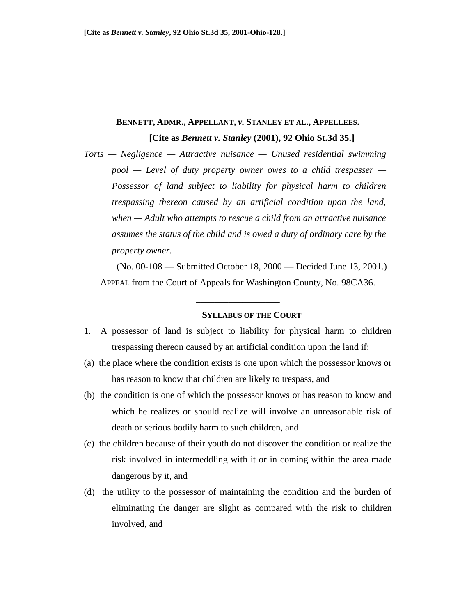## **BENNETT, ADMR., APPELLANT,** *v.* **STANLEY ET AL., APPELLEES. [Cite as** *Bennett v. Stanley* **(2001), 92 Ohio St.3d 35.]**

*Torts — Negligence — Attractive nuisance — Unused residential swimming pool — Level of duty property owner owes to a child trespasser — Possessor of land subject to liability for physical harm to children trespassing thereon caused by an artificial condition upon the land, when — Adult who attempts to rescue a child from an attractive nuisance assumes the status of the child and is owed a duty of ordinary care by the property owner.* 

(No. 00-108 — Submitted October 18, 2000 — Decided June 13, 2001.) APPEAL from the Court of Appeals for Washington County, No. 98CA36.

\_\_\_\_\_\_\_\_\_\_\_\_\_\_\_\_\_\_

## **SYLLABUS OF THE COURT**

- 1. A possessor of land is subject to liability for physical harm to children trespassing thereon caused by an artificial condition upon the land if:
- (a) the place where the condition exists is one upon which the possessor knows or has reason to know that children are likely to trespass, and
- (b) the condition is one of which the possessor knows or has reason to know and which he realizes or should realize will involve an unreasonable risk of death or serious bodily harm to such children, and
- (c) the children because of their youth do not discover the condition or realize the risk involved in intermeddling with it or in coming within the area made dangerous by it, and
- (d) the utility to the possessor of maintaining the condition and the burden of eliminating the danger are slight as compared with the risk to children involved, and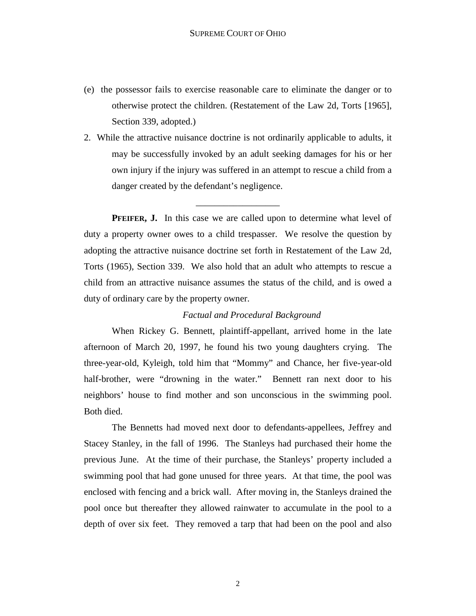- (e) the possessor fails to exercise reasonable care to eliminate the danger or to otherwise protect the children. (Restatement of the Law 2d, Torts [1965], Section 339, adopted.)
- 2. While the attractive nuisance doctrine is not ordinarily applicable to adults, it may be successfully invoked by an adult seeking damages for his or her own injury if the injury was suffered in an attempt to rescue a child from a danger created by the defendant's negligence.

\_\_\_\_\_\_\_\_\_\_\_\_\_\_\_\_\_\_

**PFEIFER, J.** In this case we are called upon to determine what level of duty a property owner owes to a child trespasser. We resolve the question by adopting the attractive nuisance doctrine set forth in Restatement of the Law 2d, Torts (1965), Section 339. We also hold that an adult who attempts to rescue a child from an attractive nuisance assumes the status of the child, and is owed a duty of ordinary care by the property owner.

## *Factual and Procedural Background*

 When Rickey G. Bennett, plaintiff-appellant, arrived home in the late afternoon of March 20, 1997, he found his two young daughters crying. The three-year-old, Kyleigh, told him that "Mommy" and Chance, her five-year-old half-brother, were "drowning in the water." Bennett ran next door to his neighbors' house to find mother and son unconscious in the swimming pool. Both died.

 The Bennetts had moved next door to defendants-appellees, Jeffrey and Stacey Stanley, in the fall of 1996. The Stanleys had purchased their home the previous June. At the time of their purchase, the Stanleys' property included a swimming pool that had gone unused for three years. At that time, the pool was enclosed with fencing and a brick wall. After moving in, the Stanleys drained the pool once but thereafter they allowed rainwater to accumulate in the pool to a depth of over six feet. They removed a tarp that had been on the pool and also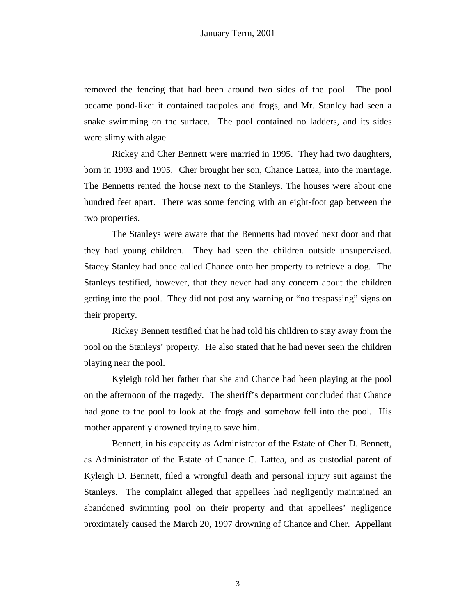removed the fencing that had been around two sides of the pool. The pool became pond-like: it contained tadpoles and frogs, and Mr. Stanley had seen a snake swimming on the surface. The pool contained no ladders, and its sides were slimy with algae.

 Rickey and Cher Bennett were married in 1995. They had two daughters, born in 1993 and 1995. Cher brought her son, Chance Lattea, into the marriage. The Bennetts rented the house next to the Stanleys. The houses were about one hundred feet apart. There was some fencing with an eight-foot gap between the two properties.

 The Stanleys were aware that the Bennetts had moved next door and that they had young children. They had seen the children outside unsupervised. Stacey Stanley had once called Chance onto her property to retrieve a dog. The Stanleys testified, however, that they never had any concern about the children getting into the pool. They did not post any warning or "no trespassing" signs on their property.

 Rickey Bennett testified that he had told his children to stay away from the pool on the Stanleys' property. He also stated that he had never seen the children playing near the pool.

 Kyleigh told her father that she and Chance had been playing at the pool on the afternoon of the tragedy. The sheriff's department concluded that Chance had gone to the pool to look at the frogs and somehow fell into the pool. His mother apparently drowned trying to save him.

 Bennett, in his capacity as Administrator of the Estate of Cher D. Bennett, as Administrator of the Estate of Chance C. Lattea, and as custodial parent of Kyleigh D. Bennett, filed a wrongful death and personal injury suit against the Stanleys. The complaint alleged that appellees had negligently maintained an abandoned swimming pool on their property and that appellees' negligence proximately caused the March 20, 1997 drowning of Chance and Cher. Appellant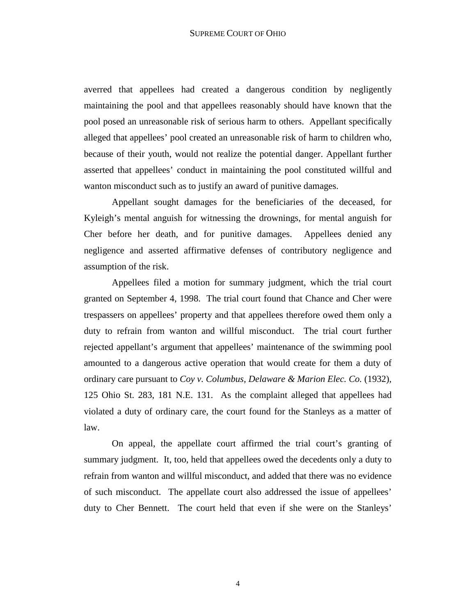averred that appellees had created a dangerous condition by negligently maintaining the pool and that appellees reasonably should have known that the pool posed an unreasonable risk of serious harm to others. Appellant specifically alleged that appellees' pool created an unreasonable risk of harm to children who, because of their youth, would not realize the potential danger. Appellant further asserted that appellees' conduct in maintaining the pool constituted willful and wanton misconduct such as to justify an award of punitive damages.

 Appellant sought damages for the beneficiaries of the deceased, for Kyleigh's mental anguish for witnessing the drownings, for mental anguish for Cher before her death, and for punitive damages. Appellees denied any negligence and asserted affirmative defenses of contributory negligence and assumption of the risk.

 Appellees filed a motion for summary judgment, which the trial court granted on September 4, 1998. The trial court found that Chance and Cher were trespassers on appellees' property and that appellees therefore owed them only a duty to refrain from wanton and willful misconduct. The trial court further rejected appellant's argument that appellees' maintenance of the swimming pool amounted to a dangerous active operation that would create for them a duty of ordinary care pursuant to *Coy v. Columbus, Delaware & Marion Elec. Co.* (1932), 125 Ohio St. 283, 181 N.E. 131. As the complaint alleged that appellees had violated a duty of ordinary care, the court found for the Stanleys as a matter of law.

 On appeal, the appellate court affirmed the trial court's granting of summary judgment. It, too, held that appellees owed the decedents only a duty to refrain from wanton and willful misconduct, and added that there was no evidence of such misconduct. The appellate court also addressed the issue of appellees' duty to Cher Bennett. The court held that even if she were on the Stanleys'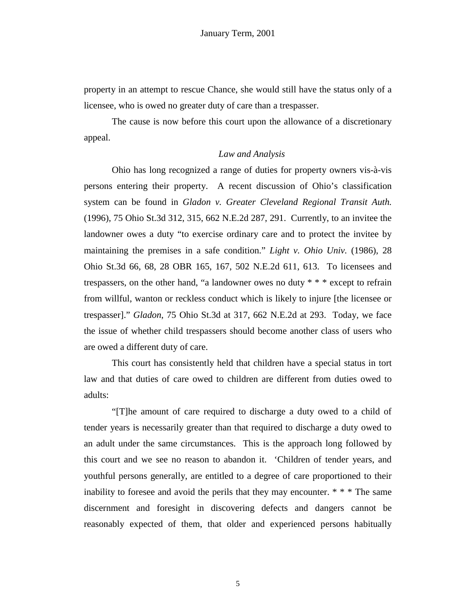property in an attempt to rescue Chance, she would still have the status only of a licensee, who is owed no greater duty of care than a trespasser.

 The cause is now before this court upon the allowance of a discretionary appeal.

## *Law and Analysis*

 Ohio has long recognized a range of duties for property owners vis-à-vis persons entering their property. A recent discussion of Ohio's classification system can be found in *Gladon v. Greater Cleveland Regional Transit Auth.* (1996), 75 Ohio St.3d 312, 315, 662 N.E.2d 287, 291. Currently, to an invitee the landowner owes a duty "to exercise ordinary care and to protect the invitee by maintaining the premises in a safe condition." *Light v. Ohio Univ.* (1986), 28 Ohio St.3d 66, 68, 28 OBR 165, 167, 502 N.E.2d 611, 613. To licensees and trespassers, on the other hand, "a landowner owes no duty \* \* \* except to refrain from willful, wanton or reckless conduct which is likely to injure [the licensee or trespasser]." *Gladon*, 75 Ohio St.3d at 317, 662 N.E.2d at 293. Today, we face the issue of whether child trespassers should become another class of users who are owed a different duty of care.

 This court has consistently held that children have a special status in tort law and that duties of care owed to children are different from duties owed to adults:

 "[T]he amount of care required to discharge a duty owed to a child of tender years is necessarily greater than that required to discharge a duty owed to an adult under the same circumstances. This is the approach long followed by this court and we see no reason to abandon it. 'Children of tender years, and youthful persons generally, are entitled to a degree of care proportioned to their inability to foresee and avoid the perils that they may encounter. \* \* \* The same discernment and foresight in discovering defects and dangers cannot be reasonably expected of them, that older and experienced persons habitually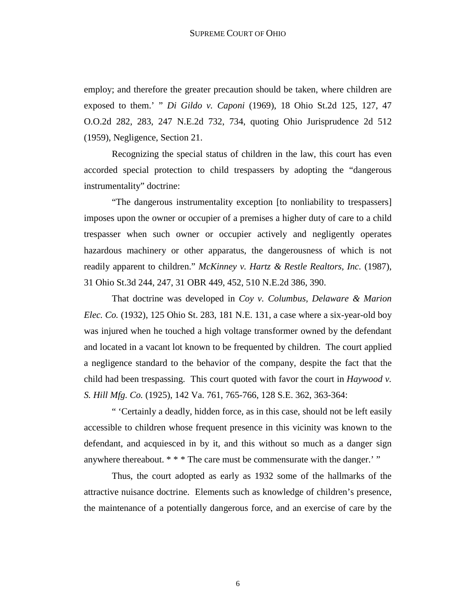employ; and therefore the greater precaution should be taken, where children are exposed to them.' " *Di Gildo v. Caponi* (1969), 18 Ohio St.2d 125, 127, 47 O.O.2d 282, 283, 247 N.E.2d 732, 734, quoting Ohio Jurisprudence 2d 512 (1959), Negligence, Section 21.

 Recognizing the special status of children in the law, this court has even accorded special protection to child trespassers by adopting the "dangerous instrumentality" doctrine:

 "The dangerous instrumentality exception [to nonliability to trespassers] imposes upon the owner or occupier of a premises a higher duty of care to a child trespasser when such owner or occupier actively and negligently operates hazardous machinery or other apparatus, the dangerousness of which is not readily apparent to children." *McKinney v. Hartz & Restle Realtors, Inc.* (1987), 31 Ohio St.3d 244, 247, 31 OBR 449, 452, 510 N.E.2d 386, 390.

 That doctrine was developed in *Coy v. Columbus, Delaware & Marion Elec. Co.* (1932), 125 Ohio St. 283, 181 N.E. 131, a case where a six-year-old boy was injured when he touched a high voltage transformer owned by the defendant and located in a vacant lot known to be frequented by children. The court applied a negligence standard to the behavior of the company, despite the fact that the child had been trespassing. This court quoted with favor the court in *Haywood v. S. Hill Mfg. Co.* (1925), 142 Va. 761, 765-766, 128 S.E. 362, 363-364:

 " 'Certainly a deadly, hidden force, as in this case, should not be left easily accessible to children whose frequent presence in this vicinity was known to the defendant, and acquiesced in by it, and this without so much as a danger sign anywhere thereabout.  $***$  The care must be commensurate with the danger.' "

 Thus, the court adopted as early as 1932 some of the hallmarks of the attractive nuisance doctrine. Elements such as knowledge of children's presence, the maintenance of a potentially dangerous force, and an exercise of care by the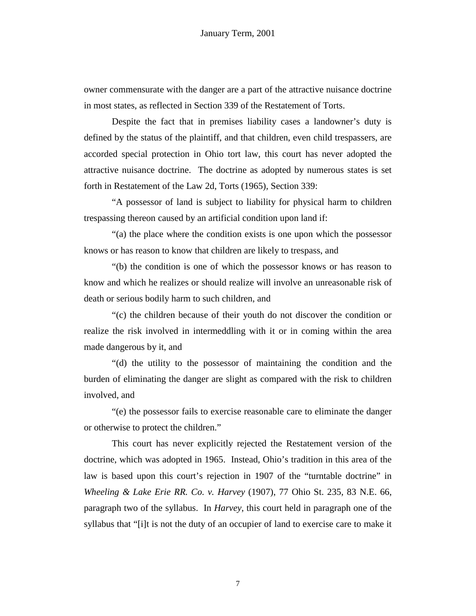owner commensurate with the danger are a part of the attractive nuisance doctrine in most states, as reflected in Section 339 of the Restatement of Torts.

 Despite the fact that in premises liability cases a landowner's duty is defined by the status of the plaintiff, and that children, even child trespassers, are accorded special protection in Ohio tort law, this court has never adopted the attractive nuisance doctrine. The doctrine as adopted by numerous states is set forth in Restatement of the Law 2d, Torts (1965), Section 339:

 "A possessor of land is subject to liability for physical harm to children trespassing thereon caused by an artificial condition upon land if:

 "(a) the place where the condition exists is one upon which the possessor knows or has reason to know that children are likely to trespass, and

 "(b) the condition is one of which the possessor knows or has reason to know and which he realizes or should realize will involve an unreasonable risk of death or serious bodily harm to such children, and

 "(c) the children because of their youth do not discover the condition or realize the risk involved in intermeddling with it or in coming within the area made dangerous by it, and

 "(d) the utility to the possessor of maintaining the condition and the burden of eliminating the danger are slight as compared with the risk to children involved, and

 "(e) the possessor fails to exercise reasonable care to eliminate the danger or otherwise to protect the children."

 This court has never explicitly rejected the Restatement version of the doctrine, which was adopted in 1965. Instead, Ohio's tradition in this area of the law is based upon this court's rejection in 1907 of the "turntable doctrine" in *Wheeling & Lake Erie RR. Co. v. Harvey* (1907), 77 Ohio St. 235, 83 N.E. 66, paragraph two of the syllabus. In *Harvey*, this court held in paragraph one of the syllabus that "[i]t is not the duty of an occupier of land to exercise care to make it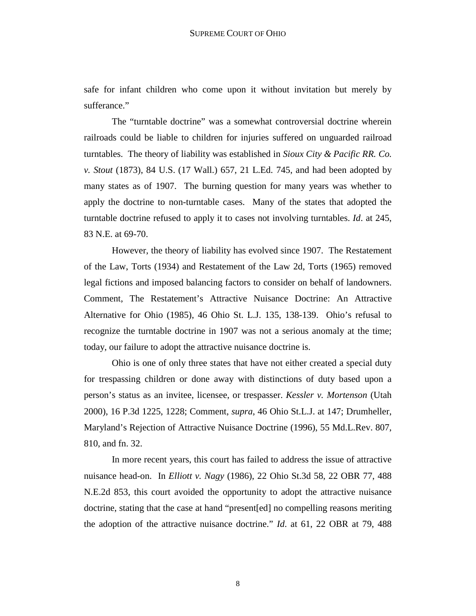safe for infant children who come upon it without invitation but merely by sufferance."

 The "turntable doctrine" was a somewhat controversial doctrine wherein railroads could be liable to children for injuries suffered on unguarded railroad turntables. The theory of liability was established in *Sioux City & Pacific RR. Co. v. Stout* (1873), 84 U.S. (17 Wall.) 657, 21 L.Ed. 745, and had been adopted by many states as of 1907. The burning question for many years was whether to apply the doctrine to non-turntable cases. Many of the states that adopted the turntable doctrine refused to apply it to cases not involving turntables. *Id*. at 245, 83 N.E. at 69-70.

 However, the theory of liability has evolved since 1907. The Restatement of the Law, Torts (1934) and Restatement of the Law 2d, Torts (1965) removed legal fictions and imposed balancing factors to consider on behalf of landowners. Comment, The Restatement's Attractive Nuisance Doctrine: An Attractive Alternative for Ohio (1985), 46 Ohio St. L.J. 135, 138-139. Ohio's refusal to recognize the turntable doctrine in 1907 was not a serious anomaly at the time; today, our failure to adopt the attractive nuisance doctrine is.

 Ohio is one of only three states that have not either created a special duty for trespassing children or done away with distinctions of duty based upon a person's status as an invitee, licensee, or trespasser. *Kessler v. Mortenson* (Utah 2000), 16 P.3d 1225, 1228; Comment, *supra*, 46 Ohio St.L.J. at 147; Drumheller, Maryland's Rejection of Attractive Nuisance Doctrine (1996), 55 Md.L.Rev. 807, 810, and fn. 32.

 In more recent years, this court has failed to address the issue of attractive nuisance head-on. In *Elliott v. Nagy* (1986), 22 Ohio St.3d 58, 22 OBR 77, 488 N.E.2d 853, this court avoided the opportunity to adopt the attractive nuisance doctrine, stating that the case at hand "present[ed] no compelling reasons meriting the adoption of the attractive nuisance doctrine." *Id*. at 61, 22 OBR at 79, 488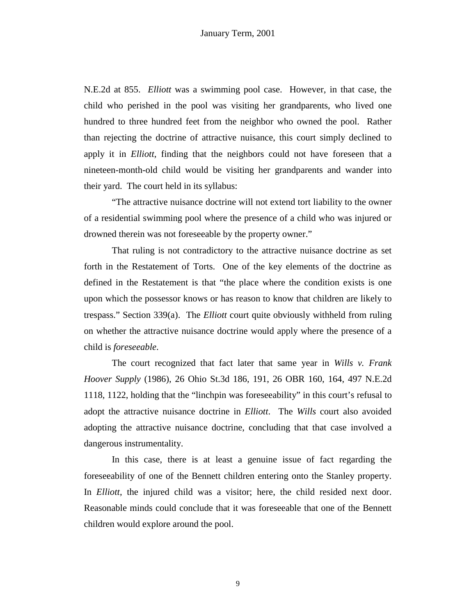N.E.2d at 855. *Elliott* was a swimming pool case. However, in that case, the child who perished in the pool was visiting her grandparents, who lived one hundred to three hundred feet from the neighbor who owned the pool. Rather than rejecting the doctrine of attractive nuisance, this court simply declined to apply it in *Elliott*, finding that the neighbors could not have foreseen that a nineteen-month-old child would be visiting her grandparents and wander into their yard. The court held in its syllabus:

 "The attractive nuisance doctrine will not extend tort liability to the owner of a residential swimming pool where the presence of a child who was injured or drowned therein was not foreseeable by the property owner."

 That ruling is not contradictory to the attractive nuisance doctrine as set forth in the Restatement of Torts. One of the key elements of the doctrine as defined in the Restatement is that "the place where the condition exists is one upon which the possessor knows or has reason to know that children are likely to trespass." Section 339(a). The *Elliott* court quite obviously withheld from ruling on whether the attractive nuisance doctrine would apply where the presence of a child is *foreseeable*.

 The court recognized that fact later that same year in *Wills v. Frank Hoover Supply* (1986), 26 Ohio St.3d 186, 191, 26 OBR 160, 164, 497 N.E.2d 1118, 1122, holding that the "linchpin was foreseeability" in this court's refusal to adopt the attractive nuisance doctrine in *Elliott*. The *Wills* court also avoided adopting the attractive nuisance doctrine, concluding that that case involved a dangerous instrumentality.

 In this case, there is at least a genuine issue of fact regarding the foreseeability of one of the Bennett children entering onto the Stanley property. In *Elliott*, the injured child was a visitor; here, the child resided next door. Reasonable minds could conclude that it was foreseeable that one of the Bennett children would explore around the pool.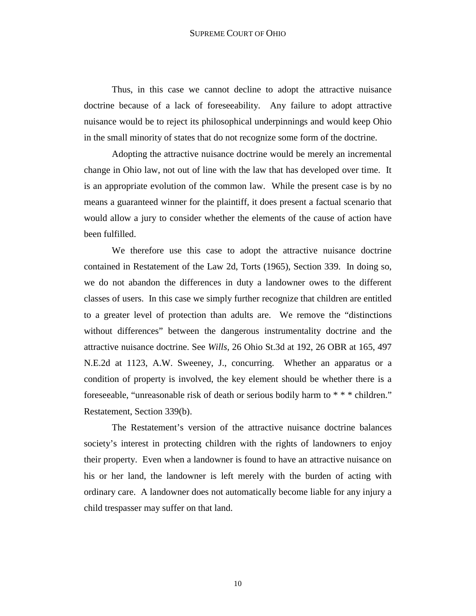Thus, in this case we cannot decline to adopt the attractive nuisance doctrine because of a lack of foreseeability. Any failure to adopt attractive nuisance would be to reject its philosophical underpinnings and would keep Ohio in the small minority of states that do not recognize some form of the doctrine.

 Adopting the attractive nuisance doctrine would be merely an incremental change in Ohio law, not out of line with the law that has developed over time. It is an appropriate evolution of the common law. While the present case is by no means a guaranteed winner for the plaintiff, it does present a factual scenario that would allow a jury to consider whether the elements of the cause of action have been fulfilled.

 We therefore use this case to adopt the attractive nuisance doctrine contained in Restatement of the Law 2d, Torts (1965), Section 339. In doing so, we do not abandon the differences in duty a landowner owes to the different classes of users. In this case we simply further recognize that children are entitled to a greater level of protection than adults are. We remove the "distinctions without differences" between the dangerous instrumentality doctrine and the attractive nuisance doctrine. See *Wills*, 26 Ohio St.3d at 192, 26 OBR at 165, 497 N.E.2d at 1123, A.W. Sweeney, J., concurring. Whether an apparatus or a condition of property is involved, the key element should be whether there is a foreseeable, "unreasonable risk of death or serious bodily harm to \* \* \* children." Restatement, Section 339(b).

 The Restatement's version of the attractive nuisance doctrine balances society's interest in protecting children with the rights of landowners to enjoy their property. Even when a landowner is found to have an attractive nuisance on his or her land, the landowner is left merely with the burden of acting with ordinary care. A landowner does not automatically become liable for any injury a child trespasser may suffer on that land.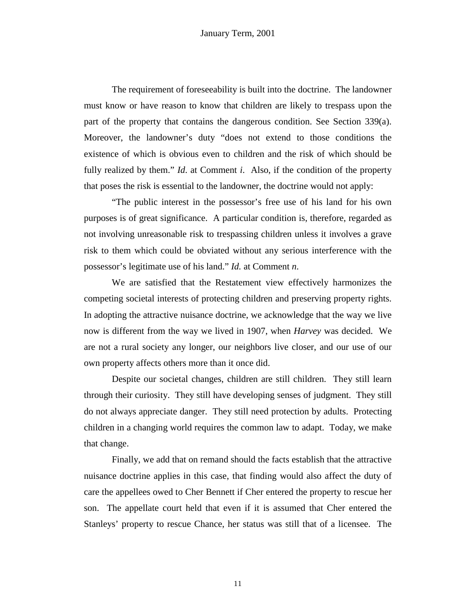The requirement of foreseeability is built into the doctrine. The landowner must know or have reason to know that children are likely to trespass upon the part of the property that contains the dangerous condition. See Section 339(a). Moreover, the landowner's duty "does not extend to those conditions the existence of which is obvious even to children and the risk of which should be fully realized by them." *Id*. at Comment *i*. Also, if the condition of the property that poses the risk is essential to the landowner, the doctrine would not apply:

 "The public interest in the possessor's free use of his land for his own purposes is of great significance. A particular condition is, therefore, regarded as not involving unreasonable risk to trespassing children unless it involves a grave risk to them which could be obviated without any serious interference with the possessor's legitimate use of his land." *Id.* at Comment *n*.

 We are satisfied that the Restatement view effectively harmonizes the competing societal interests of protecting children and preserving property rights. In adopting the attractive nuisance doctrine, we acknowledge that the way we live now is different from the way we lived in 1907, when *Harvey* was decided. We are not a rural society any longer, our neighbors live closer, and our use of our own property affects others more than it once did.

 Despite our societal changes, children are still children. They still learn through their curiosity. They still have developing senses of judgment. They still do not always appreciate danger. They still need protection by adults. Protecting children in a changing world requires the common law to adapt. Today, we make that change.

 Finally, we add that on remand should the facts establish that the attractive nuisance doctrine applies in this case, that finding would also affect the duty of care the appellees owed to Cher Bennett if Cher entered the property to rescue her son. The appellate court held that even if it is assumed that Cher entered the Stanleys' property to rescue Chance, her status was still that of a licensee. The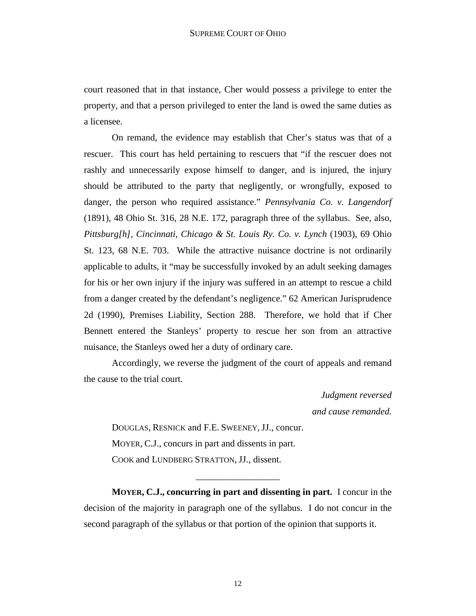court reasoned that in that instance, Cher would possess a privilege to enter the property, and that a person privileged to enter the land is owed the same duties as a licensee.

 On remand, the evidence may establish that Cher's status was that of a rescuer. This court has held pertaining to rescuers that "if the rescuer does not rashly and unnecessarily expose himself to danger, and is injured, the injury should be attributed to the party that negligently, or wrongfully, exposed to danger, the person who required assistance." *Pennsylvania Co. v. Langendorf* (1891), 48 Ohio St. 316, 28 N.E. 172, paragraph three of the syllabus. See, also, *Pittsburg[h], Cincinnati, Chicago & St. Louis Ry. Co. v. Lynch* (1903), 69 Ohio St. 123, 68 N.E. 703. While the attractive nuisance doctrine is not ordinarily applicable to adults, it "may be successfully invoked by an adult seeking damages for his or her own injury if the injury was suffered in an attempt to rescue a child from a danger created by the defendant's negligence." 62 American Jurisprudence 2d (1990), Premises Liability, Section 288. Therefore, we hold that if Cher Bennett entered the Stanleys' property to rescue her son from an attractive nuisance, the Stanleys owed her a duty of ordinary care.

 Accordingly, we reverse the judgment of the court of appeals and remand the cause to the trial court.

> *Judgment reversed and cause remanded.*

 DOUGLAS, RESNICK and F.E. SWEENEY, JJ., concur. MOYER, C.J., concurs in part and dissents in part. COOK and LUNDBERG STRATTON, JJ., dissent.

**MOYER, C.J., concurring in part and dissenting in part.** I concur in the decision of the majority in paragraph one of the syllabus. I do not concur in the second paragraph of the syllabus or that portion of the opinion that supports it.

\_\_\_\_\_\_\_\_\_\_\_\_\_\_\_\_\_\_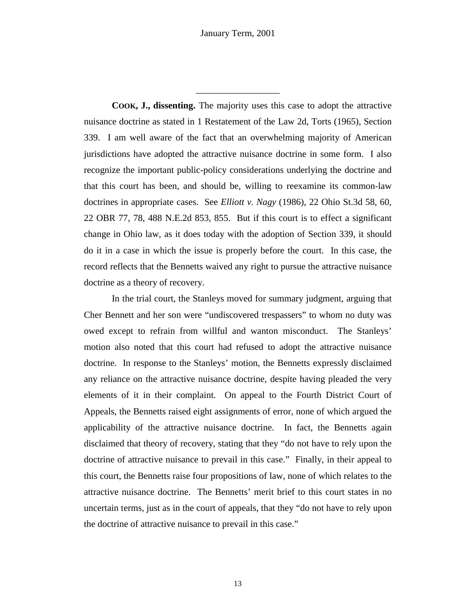\_\_\_\_\_\_\_\_\_\_\_\_\_\_\_\_\_\_

**COOK, J., dissenting.** The majority uses this case to adopt the attractive nuisance doctrine as stated in 1 Restatement of the Law 2d, Torts (1965), Section 339. I am well aware of the fact that an overwhelming majority of American jurisdictions have adopted the attractive nuisance doctrine in some form. I also recognize the important public-policy considerations underlying the doctrine and that this court has been, and should be, willing to reexamine its common-law doctrines in appropriate cases. See *Elliott v. Nagy* (1986), 22 Ohio St.3d 58, 60, 22 OBR 77, 78, 488 N.E.2d 853, 855. But if this court is to effect a significant change in Ohio law, as it does today with the adoption of Section 339, it should do it in a case in which the issue is properly before the court. In this case, the record reflects that the Bennetts waived any right to pursue the attractive nuisance doctrine as a theory of recovery.

 In the trial court, the Stanleys moved for summary judgment, arguing that Cher Bennett and her son were "undiscovered trespassers" to whom no duty was owed except to refrain from willful and wanton misconduct. The Stanleys' motion also noted that this court had refused to adopt the attractive nuisance doctrine. In response to the Stanleys' motion, the Bennetts expressly disclaimed any reliance on the attractive nuisance doctrine, despite having pleaded the very elements of it in their complaint. On appeal to the Fourth District Court of Appeals, the Bennetts raised eight assignments of error, none of which argued the applicability of the attractive nuisance doctrine. In fact, the Bennetts again disclaimed that theory of recovery, stating that they "do not have to rely upon the doctrine of attractive nuisance to prevail in this case." Finally, in their appeal to this court, the Bennetts raise four propositions of law, none of which relates to the attractive nuisance doctrine. The Bennetts' merit brief to this court states in no uncertain terms, just as in the court of appeals, that they "do not have to rely upon the doctrine of attractive nuisance to prevail in this case."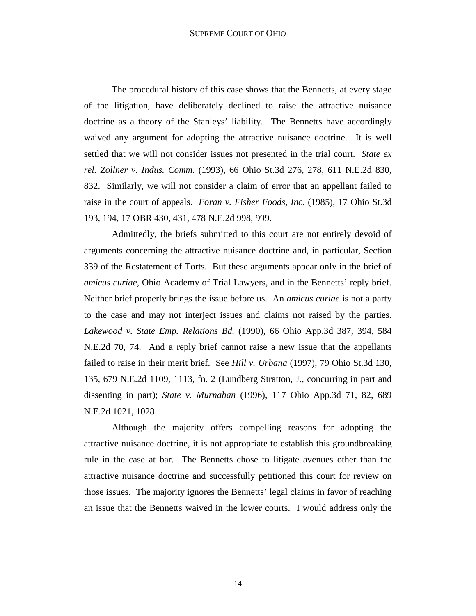The procedural history of this case shows that the Bennetts, at every stage of the litigation, have deliberately declined to raise the attractive nuisance doctrine as a theory of the Stanleys' liability. The Bennetts have accordingly waived any argument for adopting the attractive nuisance doctrine. It is well settled that we will not consider issues not presented in the trial court. *State ex rel. Zollner v. Indus. Comm.* (1993), 66 Ohio St.3d 276, 278, 611 N.E.2d 830, 832. Similarly, we will not consider a claim of error that an appellant failed to raise in the court of appeals. *Foran v. Fisher Foods, Inc.* (1985), 17 Ohio St.3d 193, 194, 17 OBR 430, 431, 478 N.E.2d 998, 999.

 Admittedly, the briefs submitted to this court are not entirely devoid of arguments concerning the attractive nuisance doctrine and, in particular, Section 339 of the Restatement of Torts. But these arguments appear only in the brief of *amicus curiae*, Ohio Academy of Trial Lawyers, and in the Bennetts' reply brief. Neither brief properly brings the issue before us. An *amicus curiae* is not a party to the case and may not interject issues and claims not raised by the parties. *Lakewood v. State Emp. Relations Bd.* (1990), 66 Ohio App.3d 387, 394, 584 N.E.2d 70, 74. And a reply brief cannot raise a new issue that the appellants failed to raise in their merit brief. See *Hill v. Urbana* (1997), 79 Ohio St.3d 130, 135, 679 N.E.2d 1109, 1113, fn. 2 (Lundberg Stratton, J., concurring in part and dissenting in part); *State v. Murnahan* (1996), 117 Ohio App.3d 71, 82, 689 N.E.2d 1021, 1028.

 Although the majority offers compelling reasons for adopting the attractive nuisance doctrine, it is not appropriate to establish this groundbreaking rule in the case at bar. The Bennetts chose to litigate avenues other than the attractive nuisance doctrine and successfully petitioned this court for review on those issues. The majority ignores the Bennetts' legal claims in favor of reaching an issue that the Bennetts waived in the lower courts. I would address only the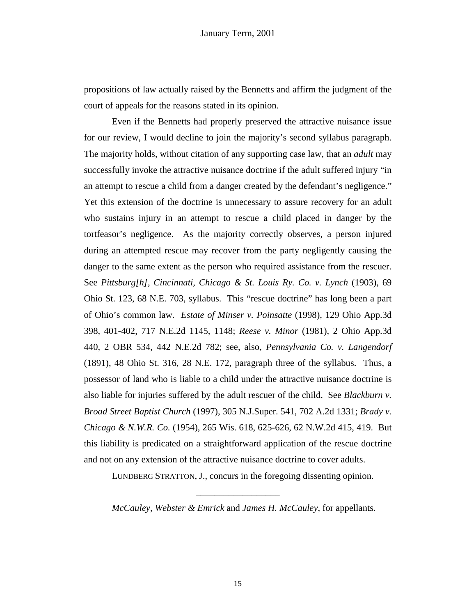propositions of law actually raised by the Bennetts and affirm the judgment of the court of appeals for the reasons stated in its opinion.

 Even if the Bennetts had properly preserved the attractive nuisance issue for our review, I would decline to join the majority's second syllabus paragraph. The majority holds, without citation of any supporting case law, that an *adult* may successfully invoke the attractive nuisance doctrine if the adult suffered injury "in an attempt to rescue a child from a danger created by the defendant's negligence." Yet this extension of the doctrine is unnecessary to assure recovery for an adult who sustains injury in an attempt to rescue a child placed in danger by the tortfeasor's negligence. As the majority correctly observes, a person injured during an attempted rescue may recover from the party negligently causing the danger to the same extent as the person who required assistance from the rescuer. See *Pittsburg[h], Cincinnati, Chicago & St. Louis Ry. Co. v. Lynch* (1903), 69 Ohio St. 123, 68 N.E. 703, syllabus. This "rescue doctrine" has long been a part of Ohio's common law. *Estate of Minser v. Poinsatte* (1998), 129 Ohio App.3d 398, 401-402, 717 N.E.2d 1145, 1148; *Reese v. Minor* (1981), 2 Ohio App.3d 440, 2 OBR 534, 442 N.E.2d 782; see, also, *Pennsylvania Co. v. Langendorf* (1891), 48 Ohio St. 316, 28 N.E. 172, paragraph three of the syllabus. Thus, a possessor of land who is liable to a child under the attractive nuisance doctrine is also liable for injuries suffered by the adult rescuer of the child. See *Blackburn v. Broad Street Baptist Church* (1997), 305 N.J.Super. 541, 702 A.2d 1331; *Brady v. Chicago & N.W.R. Co.* (1954), 265 Wis. 618, 625-626, 62 N.W.2d 415, 419. But this liability is predicated on a straightforward application of the rescue doctrine and not on any extension of the attractive nuisance doctrine to cover adults.

LUNDBERG STRATTON, J., concurs in the foregoing dissenting opinion.

\_\_\_\_\_\_\_\_\_\_\_\_\_\_\_\_\_\_

*McCauley, Webster & Emrick* and *James H. McCauley*, for appellants.